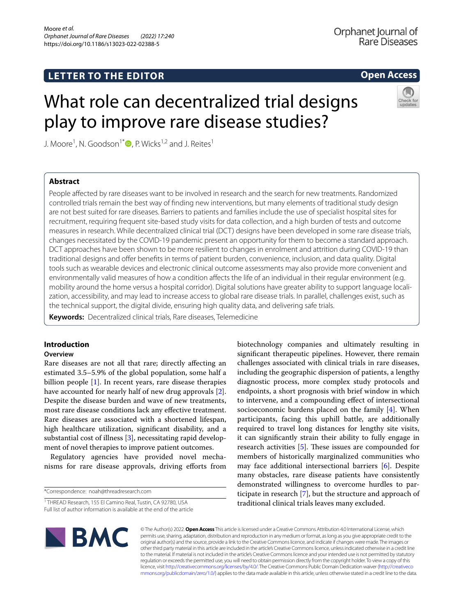## **LETTER TO THE EDITOR**

## **Open Access**

# What role can decentralized trial designs play to improve rare disease studies?



J. Moore<sup>1</sup>, N. Goodson<sup>1[\\*](http://orcid.org/0000-0002-1376-1541)</sup>  $\bullet$  , P. Wicks<sup>1,2</sup> and J. Reites<sup>1</sup>

## **Abstract**

People afected by rare diseases want to be involved in research and the search for new treatments. Randomized controlled trials remain the best way of fnding new interventions, but many elements of traditional study design are not best suited for rare diseases. Barriers to patients and families include the use of specialist hospital sites for recruitment, requiring frequent site-based study visits for data collection, and a high burden of tests and outcome measures in research. While decentralized clinical trial (DCT) designs have been developed in some rare disease trials, changes necessitated by the COVID-19 pandemic present an opportunity for them to become a standard approach. DCT approaches have been shown to be more resilient to changes in enrolment and attrition during COVID-19 than traditional designs and ofer benefts in terms of patient burden, convenience, inclusion, and data quality. Digital tools such as wearable devices and electronic clinical outcome assessments may also provide more convenient and environmentally valid measures of how a condition affects the life of an individual in their regular environment (e.g. mobility around the home versus a hospital corridor). Digital solutions have greater ability to support language localization, accessibility, and may lead to increase access to global rare disease trials. In parallel, challenges exist, such as the technical support, the digital divide, ensuring high quality data, and delivering safe trials.

**Keywords:** Decentralized clinical trials, Rare diseases, Telemedicine

## **Introduction**

### **Overview**

Rare diseases are not all that rare; directly afecting an estimated 3.5–5.9% of the global population, some half a billion people [[1\]](#page-3-0). In recent years, rare disease therapies have accounted for nearly half of new drug approvals [\[2](#page-3-1)]. Despite the disease burden and wave of new treatments, most rare disease conditions lack any efective treatment. Rare diseases are associated with a shortened lifespan, high healthcare utilization, signifcant disability, and a substantial cost of illness [[3](#page-3-2)], necessitating rapid development of novel therapies to improve patient outcomes.

Regulatory agencies have provided novel mechanisms for rare disease approvals, driving eforts from

\*Correspondence: noah@threadresearch.com

biotechnology companies and ultimately resulting in signifcant therapeutic pipelines. However, there remain challenges associated with clinical trials in rare diseases, including the geographic dispersion of patients, a lengthy diagnostic process, more complex study protocols and endpoints, a short prognosis with brief window in which to intervene, and a compounding efect of intersectional socioeconomic burdens placed on the family [\[4](#page-3-3)]. When participants, facing this uphill battle, are additionally required to travel long distances for lengthy site visits, it can signifcantly strain their ability to fully engage in research activities  $[5]$  $[5]$ . These issues are compounded for members of historically marginalized communities who may face additional intersectional barriers [[6\]](#page-3-5). Despite many obstacles, rare disease patients have consistently demonstrated willingness to overcome hurdles to participate in research [\[7](#page-3-6)], but the structure and approach of traditional clinical trials leaves many excluded.



© The Author(s) 2022. **Open Access** This article is licensed under a Creative Commons Attribution 4.0 International License, which permits use, sharing, adaptation, distribution and reproduction in any medium or format, as long as you give appropriate credit to the original author(s) and the source, provide a link to the Creative Commons licence, and indicate if changes were made. The images or other third party material in this article are included in the article's Creative Commons licence, unless indicated otherwise in a credit line to the material. If material is not included in the article's Creative Commons licence and your intended use is not permitted by statutory regulation or exceeds the permitted use, you will need to obtain permission directly from the copyright holder. To view a copy of this licence, visit [http://creativecommons.org/licenses/by/4.0/.](http://creativecommons.org/licenses/by/4.0/) The Creative Commons Public Domain Dedication waiver ([http://creativeco](http://creativecommons.org/publicdomain/zero/1.0/) [mmons.org/publicdomain/zero/1.0/](http://creativecommons.org/publicdomain/zero/1.0/)) applies to the data made available in this article, unless otherwise stated in a credit line to the data.

<sup>&</sup>lt;sup>1</sup> THREAD Research, 155 El Camino Real, Tustin, CA 92780, USA Full list of author information is available at the end of the article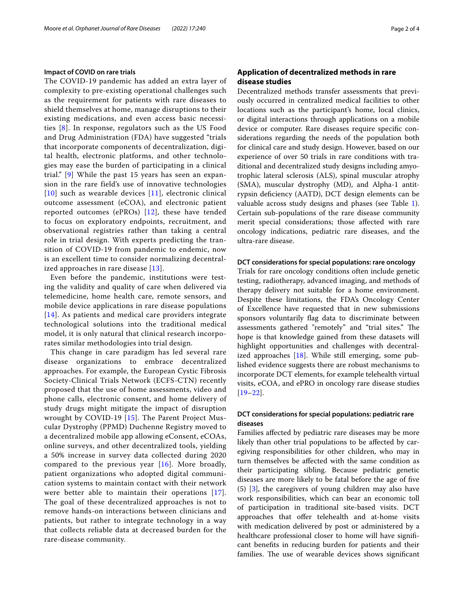#### **Impact of COVID on rare trials**

The COVID-19 pandemic has added an extra layer of complexity to pre-existing operational challenges such as the requirement for patients with rare diseases to shield themselves at home, manage disruptions to their existing medications, and even access basic necessities [[8](#page-3-7)]. In response, regulators such as the US Food and Drug Administration (FDA) have suggested "trials that incorporate components of decentralization, digital health, electronic platforms, and other technologies may ease the burden of participating in a clinical trial." [\[9](#page-3-8)] While the past 15 years has seen an expansion in the rare field's use of innovative technologies  $[10]$  $[10]$  $[10]$  such as wearable devices  $[11]$  $[11]$ , electronic clinical outcome assessment (eCOA), and electronic patient reported outcomes (ePROs) [[12\]](#page-3-11), these have tended to focus on exploratory endpoints, recruitment, and observational registries rather than taking a central role in trial design. With experts predicting the transition of COVID-19 from pandemic to endemic, now is an excellent time to consider normalizing decentralized approaches in rare disease [[13](#page-3-12)].

Even before the pandemic, institutions were testing the validity and quality of care when delivered via telemedicine, home health care, remote sensors, and mobile device applications in rare disease populations [[14](#page-3-13)]. As patients and medical care providers integrate technological solutions into the traditional medical model, it is only natural that clinical research incorporates similar methodologies into trial design.

This change in care paradigm has led several rare disease organizations to embrace decentralized approaches. For example, the European Cystic Fibrosis Society-Clinical Trials Network (ECFS-CTN) recently proposed that the use of home assessments, video and phone calls, electronic consent, and home delivery of study drugs might mitigate the impact of disruption wrought by COVID-19 [[15](#page-3-14)]. The Parent Project Muscular Dystrophy (PPMD) Duchenne Registry moved to a decentralized mobile app allowing eConsent, eCOAs, online surveys, and other decentralized tools, yielding a 50% increase in survey data collected during 2020 compared to the previous year  $[16]$  $[16]$ . More broadly, patient organizations who adopted digital communication systems to maintain contact with their network were better able to maintain their operations [[17\]](#page-3-16). The goal of these decentralized approaches is not to remove hands-on interactions between clinicians and patients, but rather to integrate technology in a way that collects reliable data at decreased burden for the rare-disease community.

## **Application of decentralized methods in rare disease studies**

Decentralized methods transfer assessments that previously occurred in centralized medical facilities to other locations such as the participant's home, local clinics, or digital interactions through applications on a mobile device or computer. Rare diseases require specifc considerations regarding the needs of the population both for clinical care and study design. However, based on our experience of over 50 trials in rare conditions with traditional and decentralized study designs including amyotrophic lateral sclerosis (ALS), spinal muscular atrophy (SMA), muscular dystrophy (MD), and Alpha-1 antitrypsin defciency (AATD), DCT design elements can be valuable across study designs and phases (see Table [1](#page-2-0)). Certain sub-populations of the rare disease community merit special considerations; those afected with rare oncology indications, pediatric rare diseases, and the ultra-rare disease.

#### **DCT considerations for special populations: rare oncology**

Trials for rare oncology conditions often include genetic testing, radiotherapy, advanced imaging, and methods of therapy delivery not suitable for a home environment. Despite these limitations, the FDA's Oncology Center of Excellence have requested that in new submissions sponsors voluntarily flag data to discriminate between assessments gathered "remotely" and "trial sites." The hope is that knowledge gained from these datasets will highlight opportunities and challenges with decentralized approaches [[18\]](#page-3-17). While still emerging, some published evidence suggests there are robust mechanisms to incorporate DCT elements, for example telehealth virtual visits, eCOA, and ePRO in oncology rare disease studies [[19–](#page-3-18)[22\]](#page-3-19).

#### **DCT considerations for special populations: pediatric rare diseases**

Families afected by pediatric rare diseases may be more likely than other trial populations to be afected by caregiving responsibilities for other children, who may in turn themselves be afected with the same condition as their participating sibling. Because pediatric genetic diseases are more likely to be fatal before the age of fve (5) [\[3](#page-3-2)], the caregivers of young children may also have work responsibilities, which can bear an economic toll of participation in traditional site-based visits. DCT approaches that offer telehealth and at-home visits with medication delivered by post or administered by a healthcare professional closer to home will have signifcant benefts in reducing burden for patients and their families. The use of wearable devices shows significant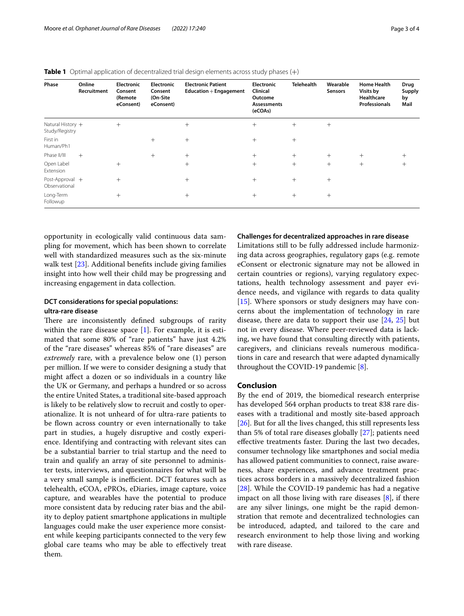| Phase                                 | Online<br>Recruitment | <b>Electronic</b><br>Consent<br>(Remote<br>eConsent) | <b>Electronic</b><br>Consent<br>(On-Site<br>eConsent) | <b>Electronic Patient</b><br><b>Education + Engagement</b> | <b>Electronic</b><br>Clinical<br>Outcome<br>Assessments<br>(eCOAs) | <b>Telehealth</b> | Wearable<br><b>Sensors</b> | <b>Home Health</b><br>Visits by<br>Healthcare<br><b>Professionals</b> | Drug<br><b>Supply</b><br>by<br>Mail |
|---------------------------------------|-----------------------|------------------------------------------------------|-------------------------------------------------------|------------------------------------------------------------|--------------------------------------------------------------------|-------------------|----------------------------|-----------------------------------------------------------------------|-------------------------------------|
| Natural History $+$<br>Study/Registry |                       | $+$                                                  |                                                       | $+$                                                        | $^{+}$                                                             | $^{+}$            | $^{+}$                     |                                                                       |                                     |
| First in<br>Human/Ph1                 |                       |                                                      | $+$                                                   | $^{+}$                                                     | $^{+}$                                                             | $^{+}$            |                            |                                                                       |                                     |
| Phase II/III                          | $+$                   |                                                      | $^{+}$                                                | $+$                                                        | $+$                                                                | $^{+}$            | $^{+}$                     | $^{+}$                                                                | $^{+}$                              |
| Open Label<br>Extension               |                       | $^{+}$                                               |                                                       | $^{+}$                                                     | $+$                                                                | $+$               | $^{+}$                     | $+$                                                                   | $^{+}$                              |
| Post-Approval +<br>Observational      |                       | $^{+}$                                               |                                                       | $+$                                                        | $^{+}$                                                             | $+$               | $^{+}$                     |                                                                       |                                     |
| Long-Term<br>Followup                 |                       | $^{+}$                                               |                                                       | $^{+}$                                                     | $^{+}$                                                             | $^{+}$            | $^{+}$                     |                                                                       |                                     |

<span id="page-2-0"></span>**Table 1** Optimal application of decentralized trial design elements across study phases (+)

opportunity in ecologically valid continuous data sampling for movement, which has been shown to correlate well with standardized measures such as the six-minute walk test [\[23\]](#page-3-20). Additional benefts include giving families insight into how well their child may be progressing and increasing engagement in data collection.

## **DCT considerations for special populations: ultra‑rare disease**

There are inconsistently defined subgroups of rarity within the rare disease space  $[1]$  $[1]$ . For example, it is estimated that some 80% of "rare patients" have just 4.2% of the "rare diseases" whereas 85% of "rare diseases" are *extremely* rare, with a prevalence below one (1) person per million. If we were to consider designing a study that might afect a dozen or so individuals in a country like the UK or Germany, and perhaps a hundred or so across the entire United States, a traditional site-based approach is likely to be relatively slow to recruit and costly to operationalize. It is not unheard of for ultra-rare patients to be flown across country or even internationally to take part in studies, a hugely disruptive and costly experience. Identifying and contracting with relevant sites can be a substantial barrier to trial startup and the need to train and qualify an array of site personnel to administer tests, interviews, and questionnaires for what will be a very small sample is inefficient. DCT features such as telehealth, eCOA, ePROs, eDiaries, image capture, voice capture, and wearables have the potential to produce more consistent data by reducing rater bias and the ability to deploy patient smartphone applications in multiple languages could make the user experience more consistent while keeping participants connected to the very few global care teams who may be able to efectively treat them.

#### **Challenges for decentralized approaches in rare disease**

Limitations still to be fully addressed include harmonizing data across geographies, regulatory gaps (e.g. remote eConsent or electronic signature may not be allowed in certain countries or regions), varying regulatory expectations, health technology assessment and payer evidence needs, and vigilance with regards to data quality [[15\]](#page-3-14). Where sponsors or study designers may have concerns about the implementation of technology in rare disease, there are data to support their use [[24](#page-3-21), [25](#page-3-22)] but not in every disease. Where peer-reviewed data is lacking, we have found that consulting directly with patients, caregivers, and clinicians reveals numerous modifcations in care and research that were adapted dynamically throughout the COVID-19 pandemic [\[8](#page-3-7)].

#### **Conclusion**

By the end of 2019, the biomedical research enterprise has developed 564 orphan products to treat 838 rare diseases with a traditional and mostly site-based approach [[26\]](#page-3-23). But for all the lives changed, this still represents less than 5% of total rare diseases globally [\[27](#page-3-24)]; patients need efective treatments faster. During the last two decades, consumer technology like smartphones and social media has allowed patient communities to connect, raise awareness, share experiences, and advance treatment practices across borders in a massively decentralized fashion [[28\]](#page-3-25). While the COVID-19 pandemic has had a negative impact on all those living with rare diseases [[8\]](#page-3-7), if there are any silver linings, one might be the rapid demonstration that remote and decentralized technologies can be introduced, adapted, and tailored to the care and research environment to help those living and working with rare disease.